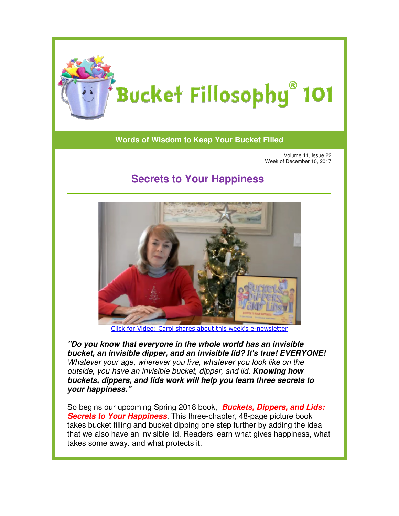

## **Words of Wisdom to Keep Your Bucket Filled**

Volume 11, Issue 22 Week of December 10, 2017

## **Secrets to Your Happiness Your**



[Click for Video:](https://www.youtube.com/watch?v=1O1tYn7wMRI) Carol shares about this week's e-newsletter

*"Do you know that everyone in the whole world has an invisible*  "Do you know that everyone in the whole world has an invisible<br>bucket, an invisible dipper, and an invisible lid? It's true! EVERYONE! Whatever your age, wherever you live, whatever you look like on the Whatever your age, wherever you live, whatever you look like on the<br>outside, you have an invisible bucket, dipper, and lid. **Knowing how** *buckets, dippers, and lids work will help you learn three secrets to your happiness."*

So begins our upcoming Spring 2018 book, So begins *Buckets, Dippers, and Lids: Secrets to Your Happiness Your Happiness*. [This three-chapter, 48-page picture book](http://www.bucketfillers101.com/buckets-dippers-lids.php) takes bucket filling and bucket dipping one step further by adding the idea takes bucket filling and bucket dipping one step further by adding the idea<br>that we also have an invisible lid. Readers learn what gives happiness, what takes some away, and what protects it.